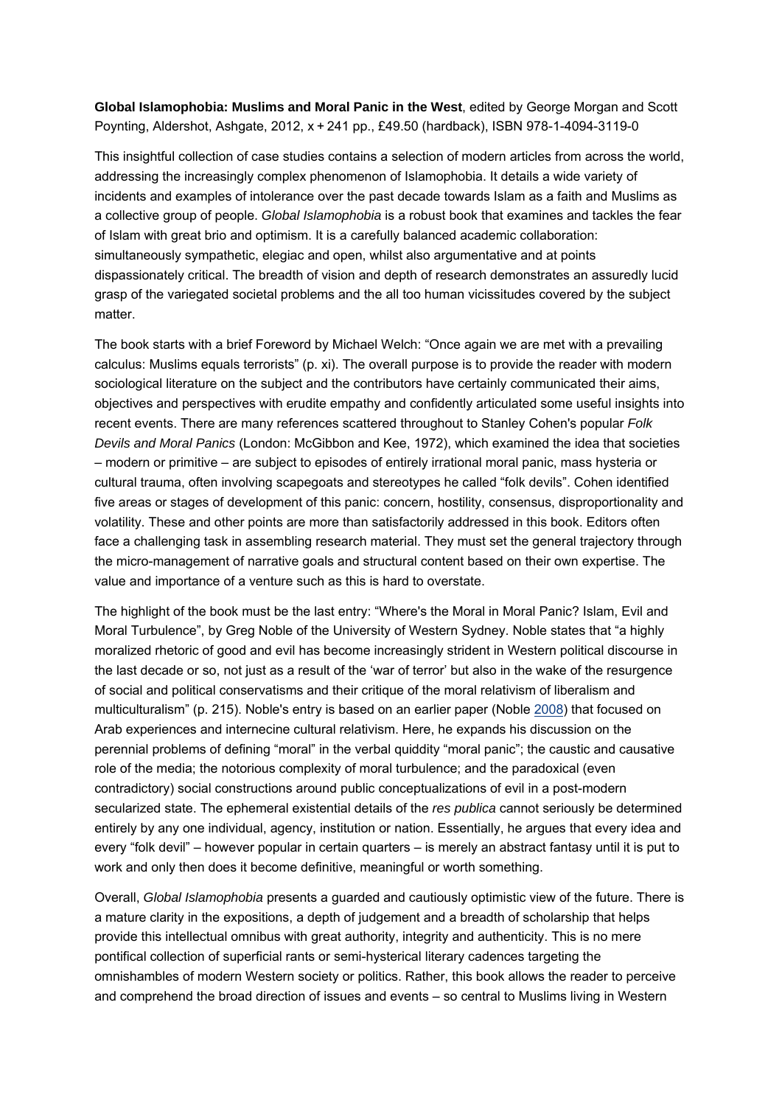**Global Islamophobia: Muslims and Moral Panic in the West**, edited by George Morgan and Scott Poynting, Aldershot, Ashgate, 2012, x + 241 pp., £49.50 (hardback), ISBN 978-1-4094-3119-0

This insightful collection of case studies contains a selection of modern articles from across the world, addressing the increasingly complex phenomenon of Islamophobia. It details a wide variety of incidents and examples of intolerance over the past decade towards Islam as a faith and Muslims as a collective group of people. *Global Islamophobia* is a robust book that examines and tackles the fear of Islam with great brio and optimism. It is a carefully balanced academic collaboration: simultaneously sympathetic, elegiac and open, whilst also argumentative and at points dispassionately critical. The breadth of vision and depth of research demonstrates an assuredly lucid grasp of the variegated societal problems and the all too human vicissitudes covered by the subject matter.

The book starts with a brief Foreword by Michael Welch: "Once again we are met with a prevailing calculus: Muslims equals terrorists" (p. xi). The overall purpose is to provide the reader with modern sociological literature on the subject and the contributors have certainly communicated their aims, objectives and perspectives with erudite empathy and confidently articulated some useful insights into recent events. There are many references scattered throughout to Stanley Cohen's popular *Folk Devils and Moral Panics* (London: McGibbon and Kee, 1972), which examined the idea that societies – modern or primitive – are subject to episodes of entirely irrational moral panic, mass hysteria or cultural trauma, often involving scapegoats and stereotypes he called "folk devils". Cohen identified five areas or stages of development of this panic: concern, hostility, consensus, disproportionality and volatility. These and other points are more than satisfactorily addressed in this book. Editors often face a challenging task in assembling research material. They must set the general trajectory through the micro-management of narrative goals and structural content based on their own expertise. The value and importance of a venture such as this is hard to overstate.

The highlight of the book must be the last entry: "Where's the Moral in Moral Panic? Islam, Evil and Moral Turbulence", by Greg Noble of the University of Western Sydney. Noble states that "a highly moralized rhetoric of good and evil has become increasingly strident in Western political discourse in the last decade or so, not just as a result of the 'war of terror' but also in the wake of the resurgence of social and political conservatisms and their critique of the moral relativism of liberalism and multiculturalism" (p. 215). Noble's entry is based on an earlier paper (Noble 2008) that focused on Arab experiences and internecine cultural relativism. Here, he expands his discussion on the perennial problems of defining "moral" in the verbal quiddity "moral panic"; the caustic and causative role of the media; the notorious complexity of moral turbulence; and the paradoxical (even contradictory) social constructions around public conceptualizations of evil in a post-modern secularized state. The ephemeral existential details of the *res publica* cannot seriously be determined entirely by any one individual, agency, institution or nation. Essentially, he argues that every idea and every "folk devil" – however popular in certain quarters – is merely an abstract fantasy until it is put to work and only then does it become definitive, meaningful or worth something.

Overall, *Global Islamophobia* presents a guarded and cautiously optimistic view of the future. There is a mature clarity in the expositions, a depth of judgement and a breadth of scholarship that helps provide this intellectual omnibus with great authority, integrity and authenticity. This is no mere pontifical collection of superficial rants or semi-hysterical literary cadences targeting the omnishambles of modern Western society or politics. Rather, this book allows the reader to perceive and comprehend the broad direction of issues and events – so central to Muslims living in Western